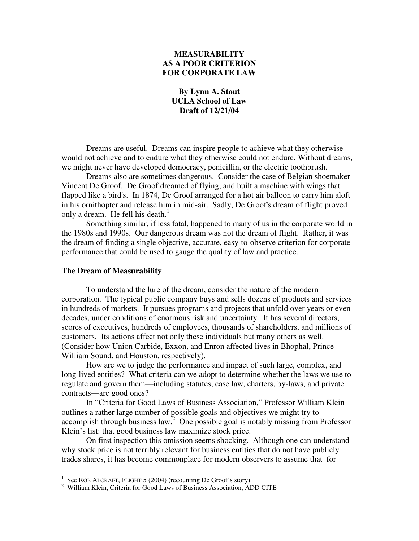# **MEASURABILITY AS A POOR CRITERION FOR CORPORATE LAW**

## **By Lynn A. Stout UCLA School of Law Draft of 12/21/04**

Dreams are useful. Dreams can inspire people to achieve what they otherwise would not achieve and to endure what they otherwise could not endure. Without dreams, we might never have developed democracy, penicillin, or the electric toothbrush.

Dreams also are sometimes dangerous. Consider the case of Belgian shoemaker Vincent De Groof. De Groof dreamed of flying, and built a machine with wings that flapped like a bird's. In 1874, De Groof arranged for a hot air balloon to carry him aloft in his ornithopter and release him in mid-air. Sadly, De Groof's dream of flight proved only a dream. He fell his death.<sup>1</sup>

Something similar, if less fatal, happened to many of us in the corporate world in the 1980s and 1990s. Our dangerous dream was not the dream of flight. Rather, it was the dream of finding a single objective, accurate, easy-to-observe criterion for corporate performance that could be used to gauge the quality of law and practice.

#### **The Dream of Measurability**

To understand the lure of the dream, consider the nature of the modern corporation. The typical public company buys and sells dozens of products and services in hundreds of markets. It pursues programs and projects that unfold over years or even decades, under conditions of enormous risk and uncertainty. It has several directors, scores of executives, hundreds of employees, thousands of shareholders, and millions of customers. Its actions affect not only these individuals but many others as well. (Consider how Union Carbide, Exxon, and Enron affected lives in Bhophal, Prince William Sound, and Houston, respectively).

How are we to judge the performance and impact of such large, complex, and long-lived entities? What criteria can we adopt to determine whether the laws we use to regulate and govern them—including statutes, case law, charters, by-laws, and private contracts—are good ones?

In "Criteria for Good Laws of Business Association," Professor William Klein outlines a rather large number of possible goals and objectives we might try to accomplish through business  $law^2$  One possible goal is notably missing from Professor Klein's list: that good business law maximize stock price.

On first inspection this omission seems shocking. Although one can understand why stock price is not terribly relevant for business entities that do not have publicly trades shares, it has become commonplace for modern observers to assume that for

<sup>&</sup>lt;sup>1</sup> See ROB ALCRAFT, FLIGHT 5 (2004) (recounting De Groof's story).

<sup>&</sup>lt;sup>2</sup> William Klein, Criteria for Good Laws of Business Association, ADD CITE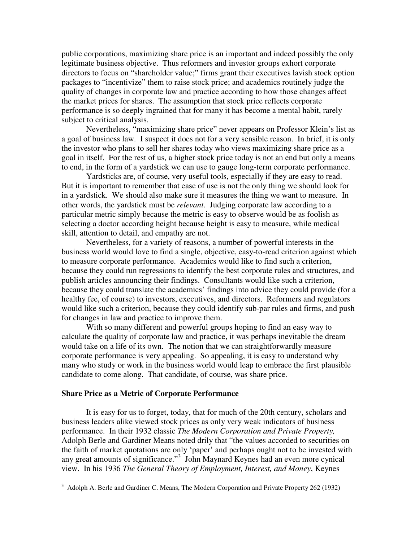public corporations, maximizing share price is an important and indeed possibly the only legitimate business objective. Thus reformers and investor groups exhort corporate directors to focus on "shareholder value;" firms grant their executives lavish stock option packages to "incentivize" them to raise stock price; and academics routinely judge the quality of changes in corporate law and practice according to how those changes affect the market prices for shares. The assumption that stock price reflects corporate performance is so deeply ingrained that for many it has become a mental habit, rarely subject to critical analysis.

Nevertheless, "maximizing share price" never appears on Professor Klein's list as a goal of business law. I suspect it does not for a very sensible reason. In brief, it is only the investor who plans to sell her shares today who views maximizing share price as a goal in itself. For the rest of us, a higher stock price today is not an end but only a means to end, in the form of a yardstick we can use to gauge long-term corporate performance.

Yardsticks are, of course, very useful tools, especially if they are easy to read. But it is important to remember that ease of use is not the only thing we should look for in a yardstick. We should also make sure it measures the thing we want to measure. In other words, the yardstick must be *relevant*. Judging corporate law according to a particular metric simply because the metric is easy to observe would be as foolish as selecting a doctor according height because height is easy to measure, while medical skill, attention to detail, and empathy are not.

Nevertheless, for a variety of reasons, a number of powerful interests in the business world would love to find a single, objective, easy-to-read criterion against which to measure corporate performance. Academics would like to find such a criterion, because they could run regressions to identify the best corporate rules and structures, and publish articles announcing their findings. Consultants would like such a criterion, because they could translate the academics' findings into advice they could provide (for a healthy fee, of course) to investors, executives, and directors. Reformers and regulators would like such a criterion, because they could identify sub-par rules and firms, and push for changes in law and practice to improve them.

With so many different and powerful groups hoping to find an easy way to calculate the quality of corporate law and practice, it was perhaps inevitable the dream would take on a life of its own. The notion that we can straightforwardly measure corporate performance is very appealing. So appealing, it is easy to understand why many who study or work in the business world would leap to embrace the first plausible candidate to come along. That candidate, of course, was share price.

#### **Share Price as a Metric of Corporate Performance**

It is easy for us to forget, today, that for much of the 20th century, scholars and business leaders alike viewed stock prices as only very weak indicators of business performance. In their 1932 classic *The Modern Corporation and Private Property,* Adolph Berle and Gardiner Means noted drily that "the values accorded to securities on the faith of market quotations are only 'paper' and perhaps ought not to be invested with any great amounts of significance."<sup>3</sup> John Maynard Keynes had an even more cynical view. In his 1936 *The General Theory of Employment, Interest, and Money*, Keynes

<sup>&</sup>lt;sup>3</sup> Adolph A. Berle and Gardiner C. Means, The Modern Corporation and Private Property 262 (1932)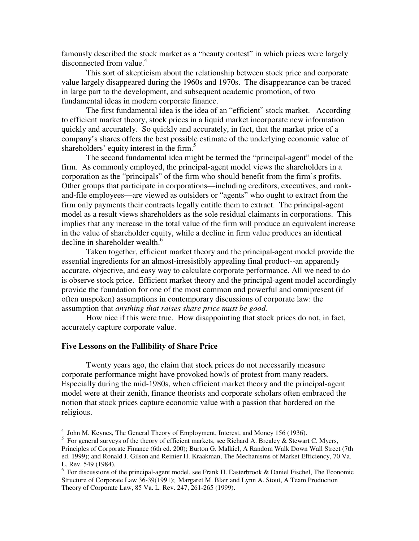famously described the stock market as a "beauty contest" in which prices were largely disconnected from value. 4

This sort of skepticism about the relationship between stock price and corporate value largely disappeared during the 1960s and 1970s. The disappearance can be traced in large part to the development, and subsequent academic promotion, of two fundamental ideas in modern corporate finance.

The first fundamental idea is the idea of an "efficient" stock market. According to efficient market theory, stock prices in a liquid market incorporate new information quickly and accurately. So quickly and accurately, in fact, that the market price of a company's shares offers the best possible estimate of the underlying economic value of shareholders' equity interest in the firm.<sup>5</sup>

The second fundamental idea might be termed the "principal-agent" model of the firm. As commonly employed, the principal-agent model views the shareholders in a corporation as the "principals" of the firm who should benefit from the firm's profits. Other groups that participate in corporations—including creditors, executives, and rankand-file employees—are viewed as outsiders or "agents" who ought to extract from the firm only payments their contracts legally entitle them to extract. The principal-agent model as a result views shareholders as the sole residual claimants in corporations. This implies that any increase in the total value of the firm will produce an equivalent increase in the value of shareholder equity, while a decline in firm value produces an identical decline in shareholder wealth.<sup>6</sup>

Taken together, efficient market theory and the principal-agent model provide the essential ingredients for an almost-irresistibly appealing final product--an apparently accurate, objective, and easy way to calculate corporate performance. All we need to do is observe stock price. Efficient market theory and the principal-agent model accordingly provide the foundation for one of the most common and powerful and omnipresent (if often unspoken) assumptions in contemporary discussions of corporate law: the assumption that *anything that raises share price must be good.*

How nice if this were true. How disappointing that stock prices do not, in fact, accurately capture corporate value.

#### **Five Lessons on the Fallibility of Share Price**

Twenty years ago, the claim that stock prices do not necessarily measure corporate performance might have provoked howls of protest from many readers. Especially during the mid-1980s, when efficient market theory and the principal-agent model were at their zenith, finance theorists and corporate scholars often embraced the notion that stock prices capture economic value with a passion that bordered on the religious.

<sup>&</sup>lt;sup>4</sup> John M. Keynes, The General Theory of Employment, Interest, and Money 156 (1936).

 $5$  For general surveys of the theory of efficient markets, see Richard A. Brealey & Stewart C. Myers, Principles of Corporate Finance (6th ed. 200); Burton G. Malkiel, A Random Walk Down Wall Street (7th ed. 1999); and Ronald J. Gilson and Reinier H. Kraakman, The Mechanisms of Market Efficiency, 70 Va. L. Rev. 549 (1984).

<sup>&</sup>lt;sup>6</sup> For discussions of the principal-agent model, see Frank H. Easterbrook & Daniel Fischel, The Economic Structure of Corporate Law 36-39(1991); Margaret M. Blair and Lynn A. Stout, A Team Production Theory of Corporate Law, 85 Va. L. Rev. 247, 261-265 (1999).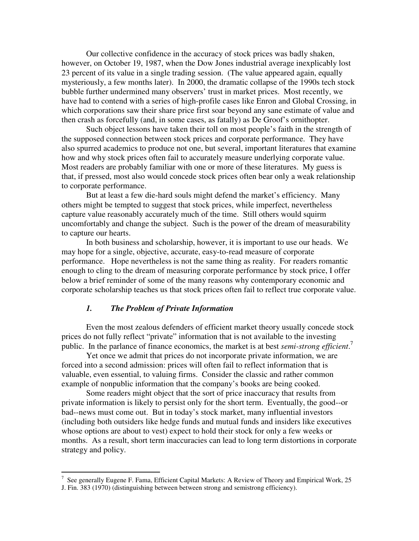Our collective confidence in the accuracy of stock prices was badly shaken, however, on October 19, 1987, when the Dow Jones industrial average inexplicably lost 23 percent of its value in a single trading session. (The value appeared again, equally mysteriously, a few months later). In 2000, the dramatic collapse of the 1990s tech stock bubble further undermined many observers' trust in market prices. Most recently, we have had to contend with a series of high-profile cases like Enron and Global Crossing, in which corporations saw their share price first soar beyond any sane estimate of value and then crash as forcefully (and, in some cases, as fatally) as De Groof's ornithopter.

Such object lessons have taken their toll on most people's faith in the strength of the supposed connection between stock prices and corporate performance. They have also spurred academics to produce not one, but several, important literatures that examine how and why stock prices often fail to accurately measure underlying corporate value. Most readers are probably familiar with one or more of these literatures. My guess is that, if pressed, most also would concede stock prices often bear only a weak relationship to corporate performance.

But at least a few die-hard souls might defend the market's efficiency. Many others might be tempted to suggest that stock prices, while imperfect, nevertheless capture value reasonably accurately much of the time. Still others would squirm uncomfortably and change the subject. Such is the power of the dream of measurability to capture our hearts.

In both business and scholarship, however, it is important to use our heads. We may hope for a single, objective, accurate, easy-to-read measure of corporate performance. Hope nevertheless is not the same thing as reality. For readers romantic enough to cling to the dream of measuring corporate performance by stock price, I offer below a brief reminder of some of the many reasons why contemporary economic and corporate scholarship teaches us that stock prices often fail to reflect true corporate value.

## *1. The Problem of Private Information*

Even the most zealous defenders of efficient market theory usually concede stock prices do not fully reflect "private" information that is not available to the investing public. In the parlance of finance economics, the market is at best *semi-strong efficient*. 7

Yet once we admit that prices do not incorporate private information, we are forced into a second admission: prices will often fail to reflect information that is valuable, even essential, to valuing firms. Consider the classic and rather common example of nonpublic information that the company's books are being cooked.

Some readers might object that the sort of price inaccuracy that results from private information is likely to persist only for the short term. Eventually, the good--or bad--news must come out. But in today's stock market, many influential investors (including both outsiders like hedge funds and mutual funds and insiders like executives whose options are about to vest) expect to hold their stock for only a few weeks or months. As a result, short term inaccuracies can lead to long term distortions in corporate strategy and policy.

<sup>&</sup>lt;sup>7</sup> See generally Eugene F. Fama, Efficient Capital Markets: A Review of Theory and Empirical Work, 25

J. Fin. 383 (1970) (distinguishing between between strong and semistrong efficiency).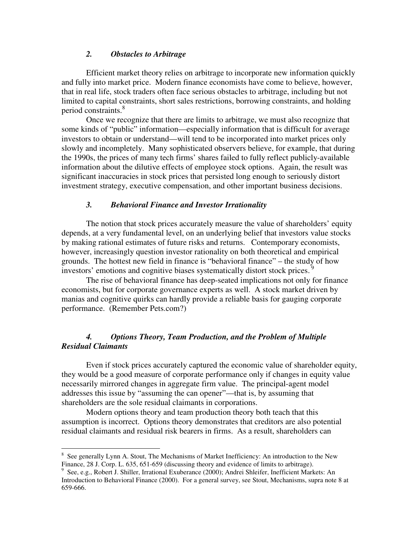### *2. Obstacles to Arbitrage*

Efficient market theory relies on arbitrage to incorporate new information quickly and fully into market price. Modern finance economists have come to believe, however, that in real life, stock traders often face serious obstacles to arbitrage, including but not limited to capital constraints, short sales restrictions, borrowing constraints, and holding period constraints. 8

Once we recognize that there are limits to arbitrage, we must also recognize that some kinds of "public" information—especially information that is difficult for average investors to obtain or understand—will tend to be incorporated into market prices only slowly and incompletely. Many sophisticated observers believe, for example, that during the 1990s, the prices of many tech firms' shares failed to fully reflect publicly-available information about the dilutive effects of employee stock options. Again, the result was significant inaccuracies in stock prices that persisted long enough to seriously distort investment strategy, executive compensation, and other important business decisions.

#### *3. Behavioral Finance and Investor Irrationality*

The notion that stock prices accurately measure the value of shareholders' equity depends, at a very fundamental level, on an underlying belief that investors value stocks by making rational estimates of future risks and returns. Contemporary economists, however, increasingly question investor rationality on both theoretical and empirical grounds. The hottest new field in finance is "behavioral finance" – the study of how investors' emotions and cognitive biases systematically distort stock prices.<sup>9</sup>

The rise of behavioral finance has deep-seated implications not only for finance economists, but for corporate governance experts as well. A stock market driven by manias and cognitive quirks can hardly provide a reliable basis for gauging corporate performance. (Remember Pets.com?)

## *4. Options Theory, Team Production, and the Problem of Multiple Residual Claimants*

Even if stock prices accurately captured the economic value of shareholder equity, they would be a good measure of corporate performance only if changes in equity value necessarily mirrored changes in aggregate firm value. The principal-agent model addresses this issue by "assuming the can opener"—that is, by assuming that shareholders are the sole residual claimants in corporations.

Modern options theory and team production theory both teach that this assumption is incorrect. Options theory demonstrates that creditors are also potential residual claimants and residual risk bearers in firms. As a result, shareholders can

<sup>&</sup>lt;sup>8</sup> See generally Lynn A. Stout, The Mechanisms of Market Inefficiency: An introduction to the New Finance, 28 J. Corp. L. 635, 651-659 (discussing theory and evidence of limits to arbitrage).

<sup>9</sup> See, e.g., Robert J. Shiller, Irrational Exuberance (2000); Andrei Shleifer, Inefficient Markets: An Introduction to Behavioral Finance (2000). For a general survey, see Stout, Mechanisms, supra note 8 at 659-666.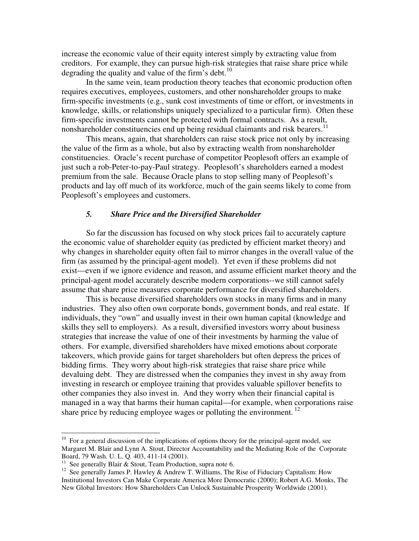increase the economic value of their equity interest simply by extracting value from creditors. For example, they can pursue high-risk strategies that raise share price while degrading the quality and value of the firm's debt.<sup>10</sup>

In the same vein, team production theory teaches that economic production often requires executives, employees, customers, and other nonshareholder groups to make firm-specific investments (e.g., sunk cost investments of time or effort, or investments in knowledge, skills, or relationships uniquely specialized to a particular firm). Often these firm-specific investments cannot be protected with formal contracts. As a result, nonshareholder constituencies end up being residual claimants and risk bearers.<sup>11</sup>

This means, again, that shareholders can raise stock price not only by increasing the value of the firm as a whole, but also by extracting wealth from nonshareholder constituencies. Oracle's recent purchase of competitor Peoplesoft offers an example of just such a rob-Peter-to-pay-Paul strategy. Peoplesoft's shareholders earned a modest premium from the sale. Because Oracle plans to stop selling many of Peoplesoft's products and lay off much of its workforce, much of the gain seems likely to come from Peoplesoft's employees and customers.

#### *5. Share Price and the Diversified Shareholder*

So far the discussion has focused on why stock prices fail to accurately capture the economic value of shareholder equity (as predicted by efficient market theory) and why changes in shareholder equity often fail to mirror changes in the overall value of the firm (as assumed by the principal-agent model). Yet even if these problems did not exist—even if we ignore evidence and reason, and assume efficient market theory and the principal-agent model accurately describe modern corporations--we still cannot safely assume that share price measures corporate performance for diversified shareholders.

This is because diversified shareholders own stocks in many firms and in many industries. They also often own corporate bonds, government bonds, and real estate. If individuals, they "own" and usually invest in their own human capital (knowledge and skills they sell to employers). As a result, diversified investors worry about business strategies that increase the value of one of their investments by harming the value of others. For example, diversified shareholders have mixed emotions about corporate takeovers, which provide gains for target shareholders but often depress the prices of bidding firms. They worry about high-risk strategies that raise share price while devaluing debt. They are distressed when the companies they invest in shy away from investing in research or employee training that provides valuable spillover benefits to other companies they also invest in. And they worry when their financial capital is managed in a way that harms their human capital—for example, when corporations raise share price by reducing employee wages or polluting the environment.<sup>12</sup>

<sup>&</sup>lt;sup>10</sup> For a general discussion of the implications of options theory for the principal-agent model, see Margaret M. Blair and Lynn A. Stout, Director Accountability and the Mediating Role of the Corporate Board, 79 Wash. U. L. Q. 403, 411-14 (2001).

<sup>&</sup>lt;sup>11</sup> See generally Blair & Stout, Team Production, supra note 6.

<sup>&</sup>lt;sup>12</sup> See generally James P. Hawley & Andrew T. Williams, The Rise of Fiduciary Capitalism: How Institutional Investors Can Make Corporate America More Democratic (2000); Robert A.G. Monks, The New Global Investors: How Shareholders Can Unlock Sustainable Prosperity Worldwide (2001).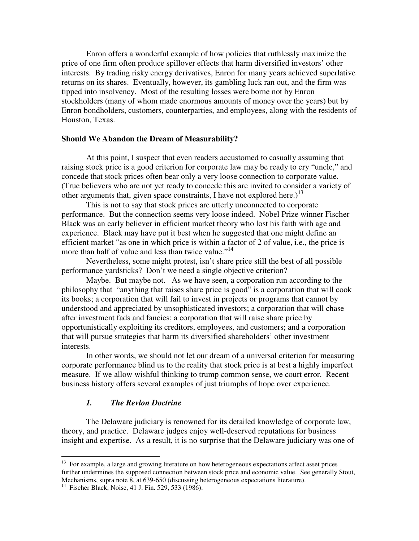Enron offers a wonderful example of how policies that ruthlessly maximize the price of one firm often produce spillover effects that harm diversified investors' other interests. By trading risky energy derivatives, Enron for many years achieved superlative returns on its shares. Eventually, however, its gambling luck ran out, and the firm was tipped into insolvency. Most of the resulting losses were borne not by Enron stockholders (many of whom made enormous amounts of money over the years) but by Enron bondholders, customers, counterparties, and employees, along with the residents of Houston, Texas.

#### **Should We Abandon the Dream of Measurability?**

At this point, I suspect that even readers accustomed to casually assuming that raising stock price is a good criterion for corporate law may be ready to cry "uncle," and concede that stock prices often bear only a very loose connection to corporate value. (True believers who are not yet ready to concede this are invited to consider a variety of other arguments that, given space constraints, I have not explored here.)<sup>13</sup>

This is not to say that stock prices are utterly unconnected to corporate performance. But the connection seems very loose indeed. Nobel Prize winner Fischer Black was an early believer in efficient market theory who lost his faith with age and experience. Black may have put it best when he suggested that one might define an efficient market "as one in which price is within a factor of 2 of value, i.e., the price is more than half of value and less than twice value."<sup>14</sup>

Nevertheless, some might protest, isn't share price still the best of all possible performance yardsticks? Don't we need a single objective criterion?

Maybe. But maybe not. As we have seen, a corporation run according to the philosophy that "anything that raises share price is good" is a corporation that will cook its books; a corporation that will fail to invest in projects or programs that cannot by understood and appreciated by unsophisticated investors; a corporation that will chase after investment fads and fancies; a corporation that will raise share price by opportunistically exploiting its creditors, employees, and customers; and a corporation that will pursue strategies that harm its diversified shareholders' other investment interests.

In other words, we should not let our dream of a universal criterion for measuring corporate performance blind us to the reality that stock price is at best a highly imperfect measure. If we allow wishful thinking to trump common sense, we court error. Recent business history offers several examples of just triumphs of hope over experience.

## *1. The Revlon Doctrine*

The Delaware judiciary is renowned for its detailed knowledge of corporate law, theory, and practice. Delaware judges enjoy well-deserved reputations for business insight and expertise. As a result, it is no surprise that the Delaware judiciary was one of

<sup>&</sup>lt;sup>13</sup> For example, a large and growing literature on how heterogeneous expectations affect asset prices further undermines the supposed connection between stock price and economic value. See generally Stout, Mechanisms, supra note 8, at 639-650 (discussing heterogeneous expectations literature).

<sup>&</sup>lt;sup>14</sup> Fischer Black, Noise, 41 J. Fin. 529, 533 (1986).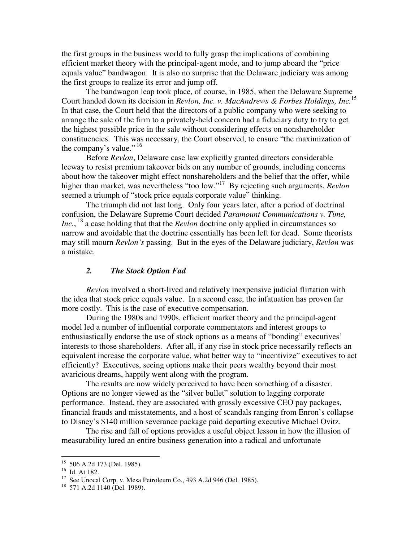the first groups in the business world to fully grasp the implications of combining efficient market theory with the principal-agent mode, and to jump aboard the "price equals value" bandwagon. It is also no surprise that the Delaware judiciary was among the first groups to realize its error and jump off.

The bandwagon leap took place, of course, in 1985, when the Delaware Supreme Court handed down its decision in *Revlon, Inc. v. MacAndrews & Forbes Holdings, Inc.* 15 In that case, the Court held that the directors of a public company who were seeking to arrange the sale of the firm to a privately-held concern had a fiduciary duty to try to get the highest possible price in the sale without considering effects on nonshareholder constituencies. This was necessary, the Court observed, to ensure "the maximization of the company's value."  $16$ 

Before *Revlon*, Delaware case law explicitly granted directors considerable leeway to resist premium takeover bids on any number of grounds, including concerns about how the takeover might effect nonshareholders and the belief that the offer, while higher than market, was nevertheless "too low." <sup>17</sup> By rejecting such arguments, *Revlon* seemed a triumph of "stock price equals corporate value" thinking.

The triumph did not last long. Only four years later, after a period of doctrinal confusion, the Delaware Supreme Court decided *Paramount Communications v. Time,* Inc., <sup>18</sup> a case holding that that the *Revlon* doctrine only applied in circumstances so narrow and avoidable that the doctrine essentially has been left for dead. Some theorists may still mourn *Revlon's* passing. But in the eyes of the Delaware judiciary, *Revlon* was a mistake.

## *2. The Stock Option Fad*

*Revlon* involved a short-lived and relatively inexpensive judicial flirtation with the idea that stock price equals value. In a second case, the infatuation has proven far more costly. This is the case of executive compensation.

During the 1980s and 1990s, efficient market theory and the principal-agent model led a number of influential corporate commentators and interest groups to enthusiastically endorse the use of stock options as a means of "bonding" executives' interests to those shareholders. After all, if any rise in stock price necessarily reflects an equivalent increase the corporate value, what better way to "incentivize" executives to act efficiently? Executives, seeing options make their peers wealthy beyond their most avaricious dreams, happily went along with the program.

The results are now widely perceived to have been something of a disaster. Options are no longer viewed as the "silver bullet" solution to lagging corporate performance. Instead, they are associated with grossly excessive CEO pay packages, financial frauds and misstatements, and a host of scandals ranging from Enron's collapse to Disney's \$140 million severance package paid departing executive Michael Ovitz.

The rise and fall of options provides a useful object lesson in how the illusion of measurability lured an entire business generation into a radical and unfortunate

<sup>15</sup> 506 A.2d 173 (Del. 1985).

<sup>16</sup> Id. At 182.

<sup>&</sup>lt;sup>17</sup> See Unocal Corp. v. Mesa Petroleum Co., 493 A.2d 946 (Del. 1985).

<sup>18</sup> 571 A.2d 1140 (Del. 1989).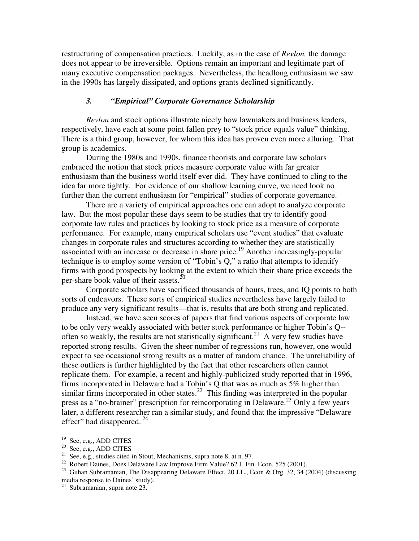restructuring of compensation practices. Luckily, as in the case of *Revlon,* the damage does not appear to be irreversible. Options remain an important and legitimate part of many executive compensation packages. Nevertheless, the headlong enthusiasm we saw in the 1990s has largely dissipated, and options grants declined significantly.

## *3. "Empirical" Corporate Governance Scholarship*

*Revlon* and stock options illustrate nicely how lawmakers and business leaders, respectively, have each at some point fallen prey to "stock price equals value" thinking. There is a third group, however, for whom this idea has proven even more alluring. That group is academics.

During the 1980s and 1990s, finance theorists and corporate law scholars embraced the notion that stock prices measure corporate value with far greater enthusiasm than the business world itself ever did. They have continued to cling to the idea far more tightly. For evidence of our shallow learning curve, we need look no further than the current enthusiasm for "empirical" studies of corporate governance.

There are a variety of empirical approaches one can adopt to analyze corporate law. But the most popular these days seem to be studies that try to identify good corporate law rules and practices by looking to stock price as a measure of corporate performance. For example, many empirical scholars use "event studies" that evaluate changes in corporate rules and structures according to whether they are statistically associated with an increase or decrease in share price. <sup>19</sup> Another increasingly-popular technique is to employ some version of "Tobin's Q," a ratio that attempts to identify firms with good prospects by looking at the extent to which their share price exceeds the per-share book value of their assets.<sup>20</sup>

Corporate scholars have sacrificed thousands of hours, trees, and IQ points to both sorts of endeavors. These sorts of empirical studies nevertheless have largely failed to produce any very significant results—that is, results that are both strong and replicated.

Instead, we have seen scores of papers that find various aspects of corporate law to be only very weakly associated with better stock performance or higher Tobin's Q- often so weakly, the results are not statistically significant.<sup>21</sup> A very few studies have reported strong results. Given the sheer number of regressions run, however, one would expect to see occasional strong results as a matter of random chance. The unreliability of these outliers is further highlighted by the fact that other researchers often cannot replicate them. For example, a recent and highly-publicized study reported that in 1996, firms incorporated in Delaware had a Tobin's Q that was as much as 5% higher than similar firms incorporated in other states.<sup>22</sup> This finding was interpreted in the popular press as a "no-brainer" prescription for reincorporating in Delaware.<sup>23</sup> Only a few years later, a different researcher ran a similar study, and found that the impressive "Delaware effect" had disappeared.<sup>24</sup>

<sup>&</sup>lt;sup>19</sup> See, e.g., ADD CITES

<sup>&</sup>lt;sup>20</sup> See, e.g., ADD CITES

<sup>&</sup>lt;sup>21</sup> See, e.g., studies cited in Stout, Mechanisms, supra note 8, at n. 97.

<sup>&</sup>lt;sup>22</sup> Robert Daines, Does Delaware Law Improve Firm Value? 62 J. Fin. Econ. 525 (2001).

<sup>&</sup>lt;sup>23</sup> Guhan Subramanian, The Disappearing Delaware Effect, 20 J.L., Econ & Org. 32, 34 (2004) (discussing media response to Daines' study).

<sup>&</sup>lt;sup>24</sup> Subramanian, supra note 23.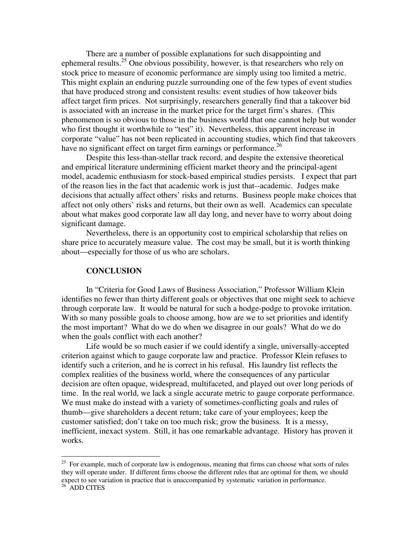There are a number of possible explanations for such disappointing and ephemeral results.<sup>25</sup> One obvious possibility, however, is that researchers who rely on stock price to measure of economic performance are simply using too limited a metric. This might explain an enduring puzzle surrounding one of the few types of event studies that have produced strong and consistent results: event studies of how takeover bids affect target firm prices. Not surprisingly, researchers generally find that a takeover bid is associated with an increase in the market price for the target firm's shares. (This phenomenon is so obvious to those in the business world that one cannot help but wonder who first thought it worthwhile to "test" it). Nevertheless, this apparent increase in corporate "value" has not been replicated in accounting studies, which find that takeovers have no significant effect on target firm earnings or performance.<sup>26</sup>

Despite this less-than-stellar track record, and despite the extensive theoretical and empirical literature undermining efficient market theory and the principal-agent model, academic enthusiasm for stock-based empirical studies persists. I expect that part of the reason lies in the fact that academic work is just that--academic. Judges make decisions that actually affect others' risks and returns. Business people make choices that affect not only others' risks and returns, but their own as well. Academics can speculate about what makes good corporate law all day long, and never have to worry about doing significant damage.

Nevertheless, there is an opportunity cost to empirical scholarship that relies on share price to accurately measure value. The cost may be small, but it is worth thinking about—especially for those of us who are scholars.

#### **CONCLUSION**

In "Criteria for Good Laws of Business Association," Professor William Klein identifies no fewer than thirty different goals or objectives that one might seek to achieve through corporate law. It would be natural for such a hodge-podge to provoke irritation. With so many possible goals to choose among, how are we to set priorities and identify the most important? What do we do when we disagree in our goals? What do we do when the goals conflict with each another?

Life would be so much easier if we could identify a single, universally-accepted criterion against which to gauge corporate law and practice. Professor Klein refuses to identify such a criterion, and he is correct in his refusal. His laundry list reflects the complex realities of the business world, where the consequences of any particular decision are often opaque, widespread, multifaceted, and played out over long periods of time. In the real world, we lack a single accurate metric to gauge corporate performance. We must make do instead with a variety of sometimes-conflicting goals and rules of thumb—give shareholders a decent return; take care of your employees; keep the customer satisfied; don't take on too much risk; grow the business. It is a messy, inefficient, inexact system. Still, it has one remarkable advantage. History has proven it works.

<sup>&</sup>lt;sup>25</sup> For example, much of corporate law is endogenous, meaning that firms can choose what sorts of rules they will operate under. If different firms choose the different rules that are optimal for them, we should expect to see variation in practice that is unaccompanied by systematic variation in performance.

 $26$  ADD CITES